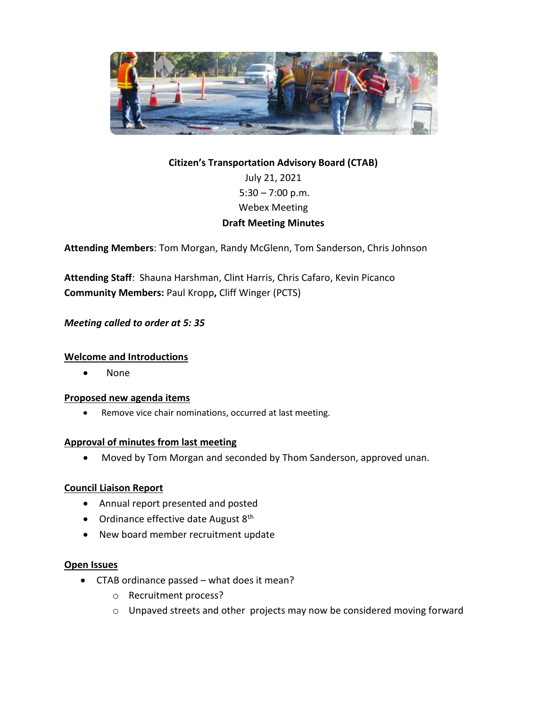

# **Citizen's Transportation Advisory Board (CTAB)** July 21, 2021  $5:30 - 7:00$  p.m. Webex Meeting **Draft Meeting Minutes**

**Attending Members**: Tom Morgan, Randy McGlenn, Tom Sanderson, Chris Johnson

**Attending Staff**: Shauna Harshman, Clint Harris, Chris Cafaro, Kevin Picanco **Community Members:** Paul Kropp**,** Cliff Winger (PCTS)

## *Meeting called to order at 5: 35*

#### **Welcome and Introductions**

None

#### **Proposed new agenda items**

Remove vice chair nominations, occurred at last meeting.

### **Approval of minutes from last meeting**

Moved by Tom Morgan and seconded by Thom Sanderson, approved unan.

#### **Council Liaison Report**

- Annual report presented and posted
- Ordinance effective date August  $8<sup>th</sup>$
- New board member recruitment update

#### **Open Issues**

- CTAB ordinance passed what does it mean?
	- o Recruitment process?
	- o Unpaved streets and other projects may now be considered moving forward